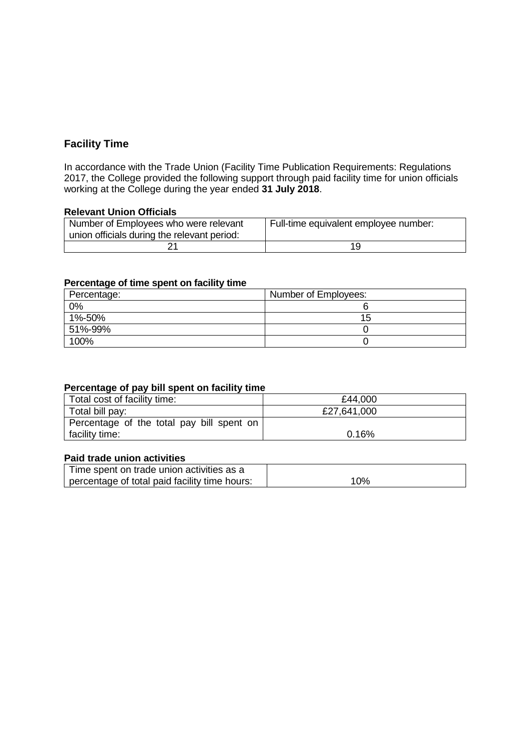# **Facility Time**

In accordance with the Trade Union (Facility Time Publication Requirements: Regulations 2017, the College provided the following support through paid facility time for union officials working at the College during the year ended **31 July 2018**.

## **Relevant Union Officials**

| Number of Employees who were relevant<br>union officials during the relevant period: | Full-time equivalent employee number: |
|--------------------------------------------------------------------------------------|---------------------------------------|
|                                                                                      |                                       |

### **Percentage of time spent on facility time**

| Percentage: | Number of Employees: |
|-------------|----------------------|
| $0\%$       |                      |
| 1%-50%      | 15.                  |
| 51%-99%     |                      |
| 100%        |                      |

### **Percentage of pay bill spent on facility time**

| Total cost of facility time:              | £44,000     |
|-------------------------------------------|-------------|
| Total bill pay:                           | £27,641,000 |
| Percentage of the total pay bill spent on |             |
| facility time:                            | 0.16%       |

#### **Paid trade union activities**

| Time spent on trade union activities as a     |     |
|-----------------------------------------------|-----|
| percentage of total paid facility time hours: | 10% |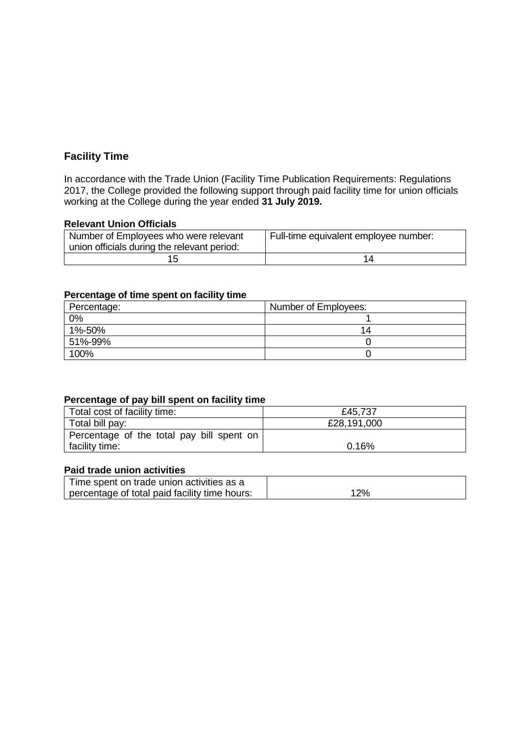# **Facility Time**

In accordance with the Trade Union (Facility Time Publication Requirements: Regulations 2017, the College provided the following support through paid facility time for union officials working at the College during the year ended **31 July 2019.**

### **Relevant Union Officials**

| Number of Employees who were relevant<br>union officials during the relevant period: | Full-time equivalent employee number: |
|--------------------------------------------------------------------------------------|---------------------------------------|
| 15                                                                                   |                                       |

### **Percentage of time spent on facility time**

| Percentage: | Number of Employees: |
|-------------|----------------------|
| 0%          |                      |
| 1%-50%      | 14                   |
| 51%-99%     |                      |
| 100%        |                      |

# **Percentage of pay bill spent on facility time**

| Total cost of facility time:              | £45,737     |
|-------------------------------------------|-------------|
| Total bill pay:                           | £28,191,000 |
| Percentage of the total pay bill spent on |             |
| facility time:                            | 0.16%       |

# **Paid trade union activities**

| Time spent on trade union activities as a     |     |
|-----------------------------------------------|-----|
| percentage of total paid facility time hours: | 12% |